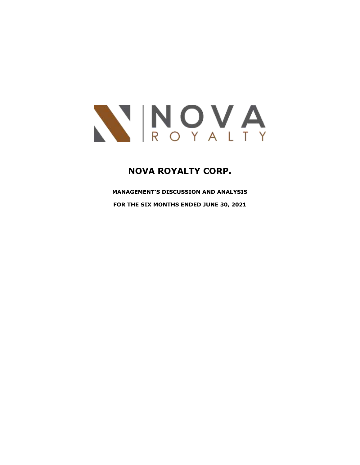

# **NOVA ROYALTY CORP.**

**MANAGEMENT'S DISCUSSION AND ANALYSIS FOR THE SIX MONTHS ENDED JUNE 30, 2021**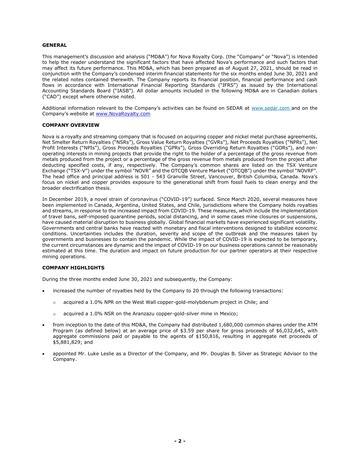## **GENERAL**

This management's discussion and analysis ("MD&A") for Nova Royalty Corp. (the "Company" or "Nova") is intended to help the reader understand the significant factors that have affected Nova's performance and such factors that may affect its future performance. This MD&A, which has been prepared as of August 27, 2021, should be read in conjunction with the Company's condensed interim financial statements for the six months ended June 30, 2021 and the related notes contained therewith. The Company reports its financial position, financial performance and cash flows in accordance with International Financial Reporting Standards ("IFRS") as issued by the International Accounting Standards Board ("IASB"). All dollar amounts included in the following MD&A are in Canadian dollars ("CAD") except where otherwise noted.

Additional information relevant to the Company's activities can be found on SEDAR at [www.sedar.com](http://www.sedar.com/) and on the Company's website at [www.NovaRoyalty.com](http://www.novaroyalty.com/)

## **COMPANY OVERVIEW**

Nova is a royalty and streaming company that is focused on acquiring copper and nickel metal purchase agreements, Net Smelter Return Royalties ("NSRs"), Gross Value Return Royalties ("GVRs"), Net Proceeds Royalties ("NPRs"), Net Profit Interests ("NPIs"), Gross Proceeds Royalties ("GPRs"), Gross Overriding Return Royalties ("GORs"), and nonoperating interests in mining projects that provide the right to the holder of a percentage of the gross revenue from metals produced from the project or a percentage of the gross revenue from metals produced from the project after deducting specified costs, if any, respectively. The Company's common shares are listed on the TSX Venture Exchange ("TSX-V") under the symbol "NOVR" and the OTCQB Venture Market ("OTCQB") under the symbol "NOVRF". The head office and principal address is 501 - 543 Granville Street, Vancouver, British Columbia, Canada. Nova's focus on nickel and copper provides exposure to the generational shift from fossil fuels to clean energy and the broader electrification thesis.

In December 2019, a novel strain of coronavirus ("COVID-19") surfaced. Since March 2020, several measures have been implemented in Canada, Argentina, United States, and Chile, jurisdictions where the Company holds royalties and streams, in response to the increased impact from COVID-19. These measures, which include the implementation of travel bans, self-imposed quarantine periods, social distancing, and in some cases mine closures or suspensions, have caused material disruption to business globally. Global financial markets have experienced significant volatility. Governments and central banks have reacted with monetary and fiscal interventions designed to stabilize economic conditions. Uncertainties includes the duration, severity and scope of the outbreak and the measures taken by governments and businesses to contain the pandemic. While the impact of COVID-19 is expected to be temporary, the current circumstances are dynamic and the impact of COVID-19 on our business operations cannot be reasonably estimated at this time. The duration and impact on future production for our partner operators at their respective mining operations.

## **COMPANY HIGHLIGHTS**

During the three months ended June 30, 2021 and subsequently, the Company:

- increased the number of royalties held by the Company to 20 through the following transactions:
	- $\circ$  acquired a 1.0% NPR on the West Wall copper-gold-molybdenum project in Chile; and
	- o acquired a 1.0% NSR on the Aranzazu copper-gold-silver mine in Mexico;
- from inception to the date of this MD&A, the Company had distributed 1,680,000 common shares under the ATM Program (as defined below) at an average price of \$3.59 per share for gross proceeds of \$6,032,645, with aggregate commissions paid or payable to the agents of \$150,816, resulting in aggregate net proceeds of \$5,881,829; and
- appointed Mr. Luke Leslie as a Director of the Company, and Mr. Douglas B. Silver as Strategic Advisor to the Company.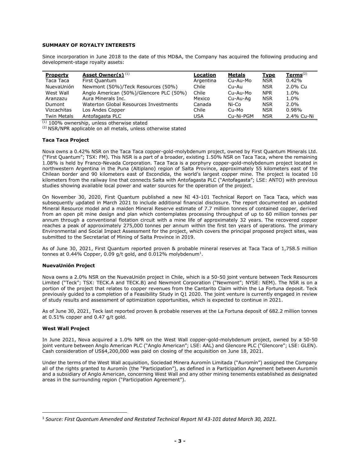# **SUMMARY OF ROYALTY INTERESTS**

Since incorporation in June 2018 to the date of this MD&A, the Company has acquired the following producing and development-stage royalty assets:

| <b>Property</b>    | <b>Asset Owner(s)</b> <sup>(1)</sup>    | Location  | <b>Metals</b> | <b>Type</b> | Terms $(2)$ |
|--------------------|-----------------------------------------|-----------|---------------|-------------|-------------|
| Taca Taca          | First Quantum                           | Argentina | Cu-Au-Mo      | <b>NSR</b>  | 0.42%       |
| NuevaUnión         | Newmont (50%)/Teck Resources (50%)      | Chile     | Cu-Au         | <b>NSR</b>  | 2.0% Cu     |
| West Wall          | Anglo American (50%)/Glencore PLC (50%) | Chile     | Cu-Au-Mo      | <b>NPR</b>  | 1.0%        |
| Aranzazu           | Aura Minerals Inc.                      | Mexico    | Cu-Au-Ag      | <b>NSR</b>  | 1.0%        |
| Dumont             | Waterton Global Resources Investments   | Canada    | Ni-Co         | <b>NSR</b>  | $2.0\%$     |
| Vizcachitas        | Los Andes Copper                        | Chile     | Cu-Mo         | <b>NSR</b>  | 0.98%       |
| <b>Twin Metals</b> | Antofagasta PLC                         | USA       | Cu-Ni-PGM     | <b>NSR</b>  | 2.4% Cu-Ni  |

 $(1)$  100% ownership, unless otherwise stated

(2) NSR/NPR applicable on all metals, unless otherwise stated

## **Taca Taca Project**

Nova owns a 0.42% NSR on the Taca Taca copper-gold-molybdenum project, owned by First Quantum Minerals Ltd. ("First Quantum"; TSX: FM). This NSR is a part of a broader, existing 1.50% NSR on Taca Taca, where the remaining 1.08% is held by Franco-Nevada Corporation. Taca Taca is a porphyry copper-gold-molybdenum project located in northwestern Argentina in the Puna (Altiplano) region of Salta Province, approximately 55 kilometers east of the Chilean border and 90 kilometers east of Escondida, the world's largest copper mine. The project is located 10 kilometers from the railway line that connects Salta with Antofagasta PLC ("Antofagasta"; LSE: ANTO) with previous studies showing available local power and water sources for the operation of the project.

On November 30, 2020, First Quantum published a new NI 43-101 Technical Report on Taca Taca, which was subsequently updated in March 2021 to include additional financial disclosure. The report documented an updated Mineral Resource model and a maiden Mineral Reserve estimate of 7.7 million tonnes of contained copper, derived from an open pit mine design and plan which contemplates processing throughput of up to 60 million tonnes per annum through a conventional flotation circuit with a mine life of approximately 32 years. The recovered copper reaches a peak of approximately 275,000 tonnes per annum within the first ten years of operations. The primary Environmental and Social Impact Assessment for the project, which covers the principal proposed project sites, was submitted to the Secretariat of Mining of Salta Province in 2019.

As of June 30, 2021, First Quantum reported proven & probable mineral reserves at Taca Taca of 1,758.5 million tonnes at 0.44% Copper, 0.09 g/t gold, and 0.012% molybdenum $^{\text{1}}$ .

## **NuevaUnión Project**

Nova owns a 2.0% NSR on the NuevaUnión project in Chile, which is a 50-50 joint venture between Teck Resources Limited ("Teck"; TSX: TECK.A and TECK.B) and Newmont Corporation ("Newmont"; NYSE: NEM). The NSR is on a portion of the project that relates to copper revenues from the Cantarito Claim within the La Fortuna deposit. Teck previously guided to a completion of a Feasibility Study in Q1 2020. The joint venture is currently engaged in review of study results and assessment of optimization opportunities, which is expected to continue in 2021.

As of June 30, 2021, Teck last reported proven & probable reserves at the La Fortuna deposit of 682.2 million tonnes at 0.51% copper and 0.47 g/t gold.

# **West Wall Project**

In June 2021, Nova acquired a 1.0% NPR on the West Wall copper-gold-molybdenum project, owned by a 50-50 joint venture between Anglo American PLC ("Anglo American"; LSE: AAL) and Glencore PLC ("Glencore"; LSE: GLEN). Cash consideration of US\$4,200,000 was paid on closing of the acquisition on June 18, 2021.

Under the terms of the West Wall acquisition, Sociedad Minera Auromín Limitada ("Auromín") assigned the Company all of the rights granted to Auromín (the "Participation"), as defined in a Participation Agreement between Auromín and a subsidiary of Anglo American, concerning West Wall and any other mining tenements established as designated areas in the surrounding region ("Participation Agreement").

<sup>1</sup> *Source: First Quantum Amended and Restated Technical Report NI 43-101 dated March 30, 2021.*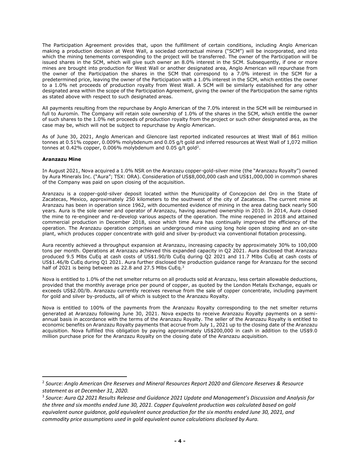The Participation Agreement provides that, upon the fulfillment of certain conditions, including Anglo American making a production decision at West Wall, a sociedad contractual minera ("SCM") will be incorporated, and into which the mining tenements corresponding to the project will be transferred. The owner of the Participation will be issued shares in the SCM, which will give such owner an 8.0% interest in the SCM. Subsequently, if one or more mines are brought into production for West Wall or another designated area, Anglo American will repurchase from the owner of the Participation the shares in the SCM that correspond to a 7.0% interest in the SCM for a predetermined price, leaving the owner of the Participation with a 1.0% interest in the SCM, which entitles the owner to a 1.0% net proceeds of production royalty from West Wall. A SCM will be similarly established for any other designated area within the scope of the Participation Agreement, giving the owner of the Participation the same rights as stated above with respect to such designated areas.

All payments resulting from the repurchase by Anglo American of the 7.0% interest in the SCM will be reimbursed in full to Auromín. The Company will retain sole ownership of 1.0% of the shares in the SCM, which entitle the owner of such shares to the 1.0% net proceeds of production royalty from the project or such other designated area, as the case may be, which will not be subject to repurchase by Anglo American.

As of June 30, 2021, Anglo American and Glencore last reported indicated resources at West Wall of 861 million tonnes at 0.51% copper, 0.009% molybdenum and 0.05 g/t gold and inferred resources at West Wall of 1,072 million tonnes at 0.42% copper, 0.006% molybdenum and 0.05 g/t gold<sup>2</sup>.

# **Aranzazu Mine**

In August 2021, Nova acquired a 1.0% NSR on the Aranzazu copper-gold-silver mine (the "Aranzazu Royalty") owned by Aura Minerals Inc. ("Aura"; TSX: ORA). Consideration of US\$8,000,000 cash and US\$1,000,000 in common shares of the Company was paid on upon closing of the acquisition.

Aranzazu is a copper-gold-silver deposit located within the Municipality of Concepcion del Oro in the State of Zacatecas, Mexico, approximately 250 kilometers to the southwest of the city of Zacatecas. The current mine at Aranzazu has been in operation since 1962, with documented evidence of mining in the area dating back nearly 500 years. Aura is the sole owner and operator of Aranzazu, having assumed ownership in 2010. In 2014, Aura closed the mine to re-engineer and re-develop various aspects of the operation. The mine reopened in 2018 and attained commercial production in December 2018, since which time Aura has continually improved the efficiency of the operation. The Aranzazu operation comprises an underground mine using long hole open stoping and an on-site plant, which produces copper concentrate with gold and silver by-product via conventional flotation processing.

Aura recently achieved a throughput expansion at Aranzazu, increasing capacity by approximately 30% to 100,000 tons per month. Operations at Aranzazu achieved this expanded capacity in Q2 2021. Aura disclosed that Aranzazu produced 9.5 Mlbs CuEq at cash costs of US\$1.90/lb CuEq during Q2 2021 and 11.7 Mlbs CuEq at cash costs of US\$1.46/lb CuEq during Q1 2021. Aura further disclosed the production guidance range for Aranzazu for the second half of 2021 is being between as 22.8 and 27.5 Mlbs CuEq.<sup>3</sup>

Nova is entitled to 1.0% of the net smelter returns on all products sold at Aranzazu, less certain allowable deductions, provided that the monthly average price per pound of copper, as quoted by the London Metals Exchange, equals or exceeds US\$2.00/lb. Aranzazu currently receives revenue from the sale of copper concentrate, including payment for gold and silver by-products, all of which is subject to the Aranzazu Royalty.

Nova is entitled to 100% of the payments from the Aranzazu Royalty corresponding to the net smelter returns generated at Aranzazu following June 30, 2021. Nova expects to receive Aranzazu Royalty payments on a semiannual basis in accordance with the terms of the Aranzazu Royalty. The seller of the Aranzazu Royalty is entitled to economic benefits on Aranzazu Royalty payments that accrue from July 1, 2021 up to the closing date of the Aranzazu acquisition. Nova fulfilled this obligation by paying approximately US\$200,000 in cash in addition to the US\$9.0 million purchase price for the Aranzazu Royalty on the closing date of the Aranzazu acquisition.

<sup>2</sup> *Source: Anglo American Ore Reserves and Mineral Resources Report 2020 and Glencore Reserves & Resource statement as at December 31, 2020.*

<sup>3</sup> *Source: Aura Q2 2021 Results Release and Guidance 2021 Update and Management's Discussion and Analysis for the three and six months ended June 30, 2021. Copper Equivalent production was calculated based on gold equivalent ounce guidance, gold equivalent ounce production for the six months ended June 30, 2021, and commodity price assumptions used in gold equivalent ounce calculations disclosed by Aura.*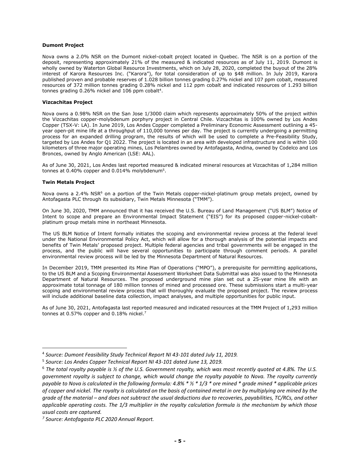# **Dumont Project**

Nova owns a 2.0% NSR on the Dumont nickel-cobalt project located in Quebec. The NSR is on a portion of the deposit, representing approximately 21% of the measured & indicated resources as of July 11, 2019. Dumont is wholly owned by Waterton Global Resource Investments, which on July 28, 2020, completed the buyout of the 28% interest of Karora Resources Inc. ("Karora"), for total consideration of up to \$48 million. In July 2019, Karora published proven and probable reserves of 1.028 billion tonnes grading 0.27% nickel and 107 ppm cobalt, measured resources of 372 million tonnes grading 0.28% nickel and 112 ppm cobalt and indicated resources of 1.293 billion tonnes grading  $0.26\%$  nickel and 106 ppm cobalt<sup>4</sup>.

# **Vizcachitas Project**

Nova owns a 0.98% NSR on the San Jose 1/3000 claim which represents approximately 50% of the project within the Vizcachitas copper-molybdenum porphyry project in Central Chile. Vizcachitas is 100% owned by Los Andes Copper (TSX-V: LA). In June 2019, Los Andes Copper completed a Preliminary Economic Assessment outlining a 45 year open-pit mine life at a throughput of 110,000 tonnes per day. The project is currently undergoing a permitting process for an expanded drilling program, the results of which will be used to complete a Pre-Feasibility Study, targeted by Los Andes for Q1 2022. The project is located in an area with developed infrastructure and is within 100 kilometers of three major operating mines, Los Pelambres owned by Antofagasta, Andina, owned by Codelco and Los Bronces, owned by Anglo American (LSE: AAL).

As of June 30, 2021, Los Andes last reported measured & indicated mineral resources at Vizcachitas of 1,284 million tonnes at 0.40% copper and 0.014% molybdenum<sup>5</sup>.

# **Twin Metals Project**

Nova owns a 2.4% NSR<sup>6</sup> on a portion of the Twin Metals copper-nickel-platinum group metals project, owned by Antofagasta PLC through its subsidiary, Twin Metals Minnesota ("TMM").

On June 30, 2020, TMM announced that it has received the U.S. Bureau of Land Management ("US BLM") Notice of Intent to scope and prepare an Environmental Impact Statement ("EIS") for its proposed copper-nickel-cobaltplatinum group metals mine in northeast Minnesota.

The US BLM Notice of Intent formally initiates the scoping and environmental review process at the federal level under the National Environmental Policy Act, which will allow for a thorough analysis of the potential impacts and benefits of Twin Metals' proposed project. Multiple federal agencies and tribal governments will be engaged in the process, and the public will have several opportunities to participate through comment periods. A parallel environmental review process will be led by the Minnesota Department of Natural Resources.

In December 2019, TMM presented its Mine Plan of Operations ("MPO"), a prerequisite for permitting applications, to the US BLM and a Scoping Environmental Assessment Worksheet Data Submittal was also issued to the Minnesota Department of Natural Resources. The proposed underground mine plan set out a 25-year mine life with an approximate total tonnage of 180 million tonnes of mined and processed ore. These submissions start a multi-year scoping and environmental review process that will thoroughly evaluate the proposed project. The review process will include additional baseline data collection, impact analyses, and multiple opportunities for public input.

As of June 30, 2021, Antofagasta last reported measured and indicated resources at the TMM Project of 1,293 million tonnes at 0.57% copper and 0.18% nickel.<sup>7</sup>

<sup>4</sup> *Source: Dumont Feasibility Study Technical Report NI 43-101 dated July 11, 2019.*

<sup>5</sup> *Source: Los Andes Copper Technical Report NI 43-101 dated June 13, 2019.*

<sup>6</sup> *The total royalty payable is ½ of the U.S. Government royalty, which was most recently quoted at 4.8%. The U.S. government royalty is subject to change, which would change the royalty payable to Nova. The royalty currently payable to Nova is calculated in the following formula: 4.8% \* ½ \* 1/3 \* ore mined \* grade mined \* applicable prices of copper and nickel. The royalty is calculated on the basis of contained metal in ore by multiplying ore mined by the grade of the material – and does not subtract the usual deductions due to recoveries, payabilities, TC/RCs, and other applicable operating costs. The 1/3 multiplier in the royalty calculation formula is the mechanism by which those usual costs are captured.* 

*<sup>7</sup> Source: Antofagasta PLC 2020 Annual Report.*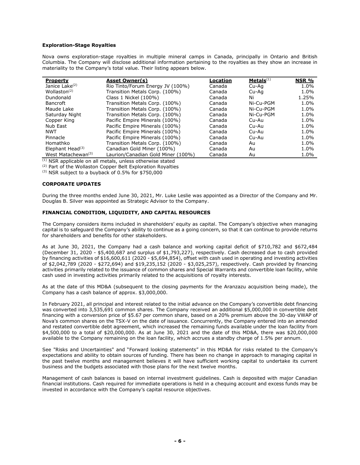# **Exploration-Stage Royalties**

Nova owns exploration-stage royalties in multiple mineral camps in Canada, principally in Ontario and British Columbia. The Company will disclose additional information pertaining to the royalties as they show an increase in materiality to the Company's total value. Their listing appears below.

| <b>Property</b>                | <b>Asset Owner(s)</b>              | Location | Metals <sup>(1)</sup> | NSR %   |
|--------------------------------|------------------------------------|----------|-----------------------|---------|
| Janice Lake <sup>(2)</sup>     | Rio Tinto/Forum Energy JV (100%)   | Canada   | Cu-Aq                 | 1.0%    |
| Wollaston <sup>(2)</sup>       | Transition Metals Corp. (100%)     | Canada   | Cu-Aa                 | 1.0%    |
| Dundonald                      | Class 1 Nickel (100%)              | Canada   | Ni                    | 1.25%   |
| <b>Bancroft</b>                | Transition Metals Corp. (100%)     | Canada   | Ni-Cu-PGM             | 1.0%    |
| Maude Lake                     | Transition Metals Corp. (100%)     | Canada   | Ni-Cu-PGM             | 1.0%    |
| Saturday Night                 | Transition Metals Corp. (100%)     | Canada   | Ni-Cu-PGM             | 1.0%    |
| Copper King                    | Pacific Empire Minerals (100%)     | Canada   | Cu-Au                 | 1.0%    |
| Nub East                       | Pacific Empire Minerals (100%)     | Canada   | Cu-Au                 | 1.0%    |
| NWT                            | Pacific Empire Minerals (100%)     | Canada   | Cu-Au                 | 1.0%    |
| Pinnacle                       | Pacific Empire Minerals (100%)     | Canada   | Cu-Au                 | $1.0\%$ |
| Homathko                       | Transition Metals Corp. (100%)     | Canada   | Au                    | 1.0%    |
| Elephant Head $(3)$            | Canadian Gold Miner (100%)         | Canada   | Au                    | 1.0%    |
| West Matachewan <sup>(3)</sup> | Laurion/Canadian Gold Miner (100%) | Canada   | Au                    | 1.0%    |

 $(1)$  NSR applicable on all metals, unless otherwise stated

(2) Part of the Wollaston Copper Belt Exploration Royalties

(3) NSR subject to a buyback of 0.5% for \$750,000

# **CORPORATE UPDATES**

During the three months ended June 30, 2021, Mr. Luke Leslie was appointed as a Director of the Company and Mr. Douglas B. Silver was appointed as Strategic Advisor to the Company.

# **FINANCIAL CONDITION, LIQUIDITY, AND CAPITAL RESOURCES**

The Company considers items included in shareholders' equity as capital. The Company's objective when managing capital is to safeguard the Company's ability to continue as a going concern, so that it can continue to provide returns for shareholders and benefits for other stakeholders.

As at June 30, 2021, the Company had a cash balance and working capital deficit of \$710,782 and \$672,484 (December 31, 2020 - \$5,400,687 and surplus of \$1,793,227), respectively. Cash decreased due to cash provided by financing activities of \$16,600,611 (2020 - \$5,694,854), offset with cash used in operating and investing activities of \$2,042,789 (2020 - \$272,694) and \$19,235,152 (2020 - \$3,025,257), respectively. Cash provided by financing activities primarily related to the issuance of common shares and Special Warrants and convertible loan facility, while cash used in investing activities primarily related to the acquisitions of royalty interests.

As at the date of this MD&A (subsequent to the closing payments for the Aranzazu acquisition being made), the Company has a cash balance of approx. \$3,000,000.

In February 2021, all principal and interest related to the initial advance on the Company's convertible debt financing was converted into 3,535,691 common shares. The Company received an additional \$5,000,000 in convertible debt financing with a conversion price of \$5.67 per common share, based on a 20% premium above the 30-day VWAP of Nova's common shares on the TSX-V on the date of issuance. Concurrently, the Company entered into an amended and restated convertible debt agreement, which increased the remaining funds available under the loan facility from \$4,500,000 to a total of \$20,000,000. As at June 30, 2021 and the date of this MD&A, there was \$20,000,000 available to the Company remaining on the loan facility, which accrues a standby charge of 1.5% per annum.

See "Risks and Uncertainties" and "Forward looking statements" in this MD&A for risks related to the Company's expectations and ability to obtain sources of funding. There has been no change in approach to managing capital in the past twelve months and management believes it will have sufficient working capital to undertake its current business and the budgets associated with those plans for the next twelve months.

Management of cash balances is based on internal investment guidelines. Cash is deposited with major Canadian financial institutions. Cash required for immediate operations is held in a chequing account and excess funds may be invested in accordance with the Company's capital resource objectives.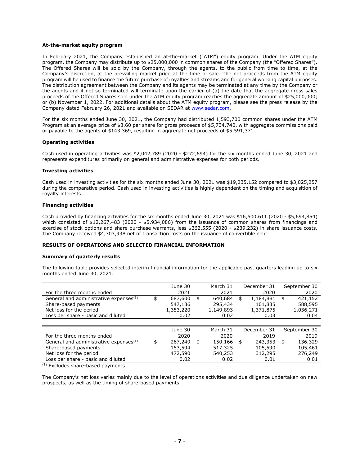## **At-the-market equity program**

In February 2021, the Company established an at-the-market ("ATM") equity program. Under the ATM equity program, the Company may distribute up to \$25,000,000 in common shares of the Company (the "Offered Shares"). The Offered Shares will be sold by the Company, through the agents, to the public from time to time, at the Company's discretion, at the prevailing market price at the time of sale. The net proceeds from the ATM equity program will be used to finance the future purchase of royalties and streams and for general working capital purposes. The distribution agreement between the Company and its agents may be terminated at any time by the Company or the agents and if not so terminated will terminate upon the earlier of (a) the date that the aggregate gross sales proceeds of the Offered Shares sold under the ATM equity program reaches the aggregate amount of \$25,000,000; or (b) November 1, 2022. For additional details about the ATM equity program, please see the press release by the Company dated February 26, 2021 and available on SEDAR at [www.sedar.com.](http://www.sedar.com/)

For the six months ended June 30, 2021, the Company had distributed 1,593,700 common shares under the ATM Program at an average price of \$3.60 per share for gross proceeds of \$5,734,740, with aggregate commissions paid or payable to the agents of \$143,369, resulting in aggregate net proceeds of \$5,591,371.

## **Operating activities**

Cash used in operating activities was \$2,042,789 (2020 - \$272,694) for the six months ended June 30, 2021 and represents expenditures primarily on general and administrative expenses for both periods.

#### **Investing activities**

Cash used in investing activities for the six months ended June 30, 2021 was \$19,235,152 compared to \$3,025,257 during the comparative period. Cash used in investing activities is highly dependent on the timing and acquisition of royalty interests.

## **Financing activities**

Cash provided by financing activities for the six months ended June 30, 2021 was \$16,600,611 (2020 - \$5,694,854) which consisted of \$12,267,483 (2020 - \$5,934,086) from the issuance of common shares from financings and exercise of stock options and share purchase warrants, less \$362,555 (2020 - \$239,232) in share issuance costs. The Company received \$4,703,938 net of transaction costs on the issuance of convertible debt.

# **RESULTS OF OPERATIONS AND SELECTED FINANCIAL INFORMATION**

#### **Summary of quarterly results**

The following table provides selected interim financial information for the applicable past quarters leading up to six months ended June 30, 2021.

|                                                    | June 30       | March 31      | December 31     | September 30  |
|----------------------------------------------------|---------------|---------------|-----------------|---------------|
| For the three months ended                         | 2021          | 2021          | 2020            | 2020          |
| General and administrative expenses <sup>(1)</sup> | \$<br>687,600 | \$<br>640,684 | \$<br>1,184,881 | \$<br>421,152 |
| Share-based payments                               | 547,136       | 295,434       | 101,835         | 588,595       |
| Net loss for the period                            | 1,353,220     | 1,149,893     | 1,371,875       | 1,036,271     |
| Loss per share - basic and diluted                 | 0.02          | 0.02          | 0.03            | 0.04          |
|                                                    |               |               |                 |               |
|                                                    | June 30       | March 31      | December 31     | September 30  |
| For the three months ended                         | 2020          | 2020          | 2019            | 2019          |
| General and administrative expenses <sup>(1)</sup> | \$<br>267,249 | \$<br>150,166 | \$<br>243,353   | \$<br>136,329 |
| Share-based payments                               | 153,594       | 517,325       | 105,590         | 105,461       |
| Net loss for the period                            | 472,590       | 540,253       | 312,295         | 276,249       |
| Loss per share - basic and diluted                 | 0.02          | 0.02          | 0.01            | 0.01          |

(1) Excludes share-based payments

The Company's net loss varies mainly due to the level of operations activities and due diligence undertaken on new prospects, as well as the timing of share-based payments.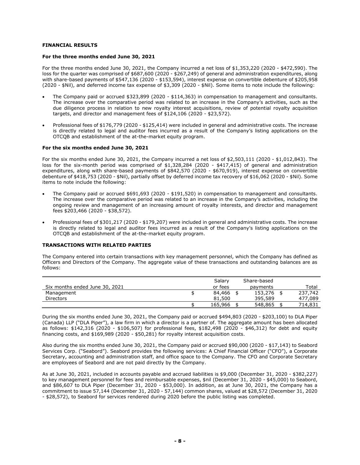# **FINANCIAL RESULTS**

#### **For the three months ended June 30, 2021**

For the three months ended June 30, 2021, the Company incurred a net loss of \$1,353,220 (2020 - \$472,590). The loss for the quarter was comprised of \$687,600 (2020 - \$267,249) of general and administration expenditures, along with share-based payments of \$547,136 (2020 - \$153,594), interest expense on convertible debenture of \$205,958 (2020 - \$Nil), and deferred income tax expense of \$3,309 (2020 - \$Nil). Some items to note include the following:

- The Company paid or accrued \$323,899 (2020 \$114,363) in compensation to management and consultants. The increase over the comparative period was related to an increase in the Company's activities, such as the due diligence process in relation to new royalty interest acquisitions, review of potential royalty acquisition targets, and director and management fees of \$124,106 (2020 - \$23,572).
- Professional fees of \$176,779 (2020 \$125,414) were included in general and administrative costs. The increase is directly related to legal and auditor fees incurred as a result of the Company's listing applications on the OTCQB and establishment of the at-the-market equity program.

## **For the six months ended June 30, 2021**

For the six months ended June 30, 2021, the Company incurred a net loss of \$2,503,111 (2020 - \$1,012,843). The loss for the six-month period was comprised of \$1,328,284 (2020 - \$417,415) of general and administration expenditures, along with share-based payments of \$842,570 (2020 - \$670,919), interest expense on convertible debenture of \$418,753 (2020 - \$Nil), partially offset by deferred income tax recovery of \$16,062 (2020 - \$Nil). Some items to note include the following:

- The Company paid or accrued \$691,693 (2020 \$191,520) in compensation to management and consultants. The increase over the comparative period was related to an increase in the Company's activities, including the ongoing review and management of an increasing amount of royalty interests, and director and management fees \$203,466 (2020 - \$38,572).
- Professional fees of \$301,217 (2020 \$179,207) were included in general and administrative costs. The increase is directly related to legal and auditor fees incurred as a result of the Company's listing applications on the OTCQB and establishment of the at-the-market equity program.

#### **TRANSACTIONS WITH RELATED PARTIES**

The Company entered into certain transactions with key management personnel, which the Company has defined as Officers and Directors of the Company. The aggregate value of these transactions and outstanding balances are as follows:

|                                | Salary  | Share-based |         |
|--------------------------------|---------|-------------|---------|
| Six months ended June 30, 2021 | or fees | payments    | Total   |
| Management                     | 84,466  | 153,276     | 237,742 |
| <b>Directors</b>               | 81,500  | 395,589     | 477,089 |
|                                | 165,966 | 548,865     | 714,831 |

During the six months ended June 30, 2021, the Company paid or accrued \$494,803 (2020 - \$203,100) to DLA Piper (Canada) LLP ("DLA Piper"), a law firm in which a director is a partner of. The aggregate amount has been allocated as follows: \$142,316 (2020 - \$106,507) for professional fees, \$182,498 (2020 - \$46,312) for debt and equity financing costs, and \$169,989 (2020 - \$50,281) for royalty interest acquisition costs.

Also during the six months ended June 30, 2021, the Company paid or accrued \$90,000 (2020 - \$17,143) to Seabord Services Corp. ("Seabord"). Seabord provides the following services: A Chief Financial Officer ("CFO"), a Corporate Secretary, accounting and administration staff, and office space to the Company. The CFO and Corporate Secretary are employees of Seabord and are not paid directly by the Company.

As at June 30, 2021, included in accounts payable and accrued liabilities is \$9,000 (December 31, 2020 - \$382,227) to key management personnel for fees and reimbursable expenses, \$nil (December 31, 2020 - \$45,000) to Seabord, and \$86,607 to DLA Piper (December 31, 2020 - \$53,000). In addition, as at June 30, 2021, the Company has a commitment to issue 57,144 (December 31, 2020 - 57,144) common shares, valued at \$28,572 (December 31, 2020 - \$28,572), to Seabord for services rendered during 2020 before the public listing was completed.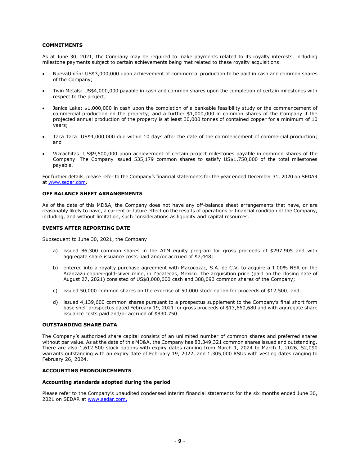# **COMMITMENTS**

As at June 30, 2021, the Company may be required to make payments related to its royalty interests, including milestone payments subject to certain achievements being met related to these royalty acquisitions:

- NuevaUnión: US\$3,000,000 upon achievement of commercial production to be paid in cash and common shares of the Company;
- Twin Metals: US\$4,000,000 payable in cash and common shares upon the completion of certain milestones with respect to the project;
- Janice Lake: \$1,000,000 in cash upon the completion of a bankable feasibility study or the commencement of commercial production on the property; and a further \$1,000,000 in common shares of the Company if the projected annual production of the property is at least 30,000 tonnes of contained copper for a minimum of 10 years;
- Taca Taca: US\$4,000,000 due within 10 days after the date of the commencement of commercial production; and
- Vizcachitas: US\$9,500,000 upon achievement of certain project milestones payable in common shares of the Company. The Company issued 535,179 common shares to satisfy US\$1,750,000 of the total milestones payable.

For further details, please refer to the Company's financial statements for the year ended December 31, 2020 on SEDAR at [www.sedar.com.](http://www.sedar.com/)

## **OFF BALANCE SHEET ARRANGEMENTS**

As of the date of this MD&A, the Company does not have any off-balance sheet arrangements that have, or are reasonably likely to have, a current or future effect on the results of operations or financial condition of the Company, including, and without limitation, such considerations as liquidity and capital resources.

# **EVENTS AFTER REPORTING DATE**

Subsequent to June 30, 2021, the Company:

- a) issued 86,300 common shares in the ATM equity program for gross proceeds of \$297,905 and with aggregate share issuance costs paid and/or accrued of \$7,448;
- b) entered into a royalty purchase agreement with Macocozac, S.A. de C.V. to acquire a 1.00% NSR on the Aranzazu copper-gold-silver mine, in Zacatecas, Mexico. The acquisition price (paid on the closing date of August 27, 2021) consisted of US\$8,000,000 cash and 388,093 common shares of the Company;
- c) issued 50,000 common shares on the exercise of 50,000 stock option for proceeds of \$12,500; and
- d) issued 4,139,600 common shares pursuant to a prospectus supplement to the Company's final short form base shelf prospectus dated February 19, 2021 for gross proceeds of \$13,660,680 and with aggregate share issuance costs paid and/or accrued of \$830,750.

## **OUTSTANDING SHARE DATA**

The Company's authorized share capital consists of an unlimited number of common shares and preferred shares without par value. As at the date of this MD&A, the Company has 83,349,321 common shares issued and outstanding. There are also 1,612,500 stock options with expiry dates ranging from March 1, 2024 to March 1, 2026, 52,090 warrants outstanding with an expiry date of February 19, 2022, and 1,305,000 RSUs with vesting dates ranging to February 26, 2024.

# **ACCOUNTING PRONOUNCEMENTS**

## **Accounting standards adopted during the period**

Please refer to the Company's unaudited condensed interim financial statements for the six months ended June 30, 2021 on SEDAR at [www.sedar.com.](http://www.sedar.com/)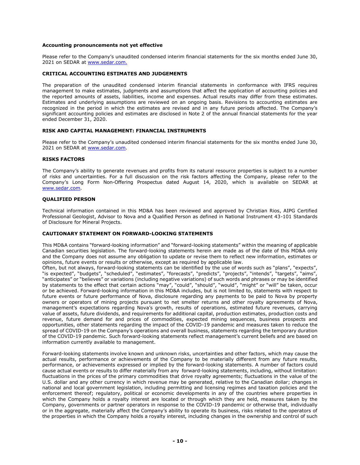## **Accounting pronouncements not yet effective**

Please refer to the Company's unaudited condensed interim financial statements for the six months ended June 30, 2021 on SEDAR at [www.sedar.com.](http://www.sedar.com/)

# **CRITICAL ACCOUNTING ESTIMATES AND JUDGEMENTS**

The preparation of the unaudited condensed interim financial statements in conformance with IFRS requires management to make estimates, judgments and assumptions that affect the application of accounting policies and the reported amounts of assets, liabilities, income and expenses. Actual results may differ from these estimates. Estimates and underlying assumptions are reviewed on an ongoing basis. Revisions to accounting estimates are recognized in the period in which the estimates are revised and in any future periods affected. The Company's significant accounting policies and estimates are disclosed in Note 2 of the annual financial statements for the year ended December 31, 2020.

# **RISK AND CAPITAL MANAGEMENT: FINANCIAL INSTRUMENTS**

Please refer to the Company's unaudited condensed interim financial statements for the six months ended June 30, 2021 on SEDAR at [www.sedar.com.](http://www.sedar.com/)

#### **RISKS FACTORS**

The Company's ability to generate revenues and profits from its natural resource properties is subject to a number of risks and uncertainties. For a full discussion on the risk factors affecting the Company, please refer to the Company's Long Form Non-Offering Prospectus dated August 14, 2020, which is available on SEDAR at [www.sedar.com.](http://www.sedar.com/)

## **QUALIFIED PERSON**

Technical information contained in this MD&A has been reviewed and approved by Christian Rios, AIPG Certified Professional Geologist, Advisor to Nova and a Qualified Person as defined in National Instrument 43-101 Standards of Disclosure for Mineral Projects.

#### **CAUTIONARY STATEMENT ON FORWARD-LOOKING STATEMENTS**

This MD&A contains "forward-looking information" and "forward-looking statements" within the meaning of applicable Canadian securities legislation. The forward-looking statements herein are made as of the date of this MD&A only and the Company does not assume any obligation to update or revise them to reflect new information, estimates or opinions, future events or results or otherwise, except as required by applicable law.

Often, but not always, forward-looking statements can be identified by the use of words such as "plans", "expects", "is expected", "budgets", "scheduled", "estimates", "forecasts", "predicts", "projects", "intends", "targets", "aims", "anticipates" or "believes" or variations (including negative variations) of such words and phrases or may be identified by statements to the effect that certain actions "may", "could", "should", "would", "might" or "will" be taken, occur or be achieved. Forward-looking information in this MD&A includes, but is not limited to, statements with respect to future events or future performance of Nova, disclosure regarding any payments to be paid to Nova by property owners or operators of mining projects pursuant to net smelter returns and other royalty agreements of Nova, management's expectations regarding Nova's growth, results of operations, estimated future revenues, carrying value of assets, future dividends, and requirements for additional capital, production estimates, production costs and revenue, future demand for and prices of commodities, expected mining sequences, business prospects and opportunities, other statements regarding the impact of the COVID-19 pandemic and measures taken to reduce the spread of COVID-19 on the Company's operations and overall business, statements regarding the temporary duration of the COVID-19 pandemic. Such forward-looking statements reflect management's current beliefs and are based on information currently available to management.

Forward-looking statements involve known and unknown risks, uncertainties and other factors, which may cause the actual results, performance or achievements of the Company to be materially different from any future results, performance, or achievements expressed or implied by the forward-looking statements. A number of factors could cause actual events or results to differ materially from any forward-looking statements, including, without limitation: fluctuations in the prices of the primary commodities that drive royalty agreements; fluctuations in the value of the U.S. dollar and any other currency in which revenue may be generated, relative to the Canadian dollar; changes in national and local government legislation, including permitting and licensing regimes and taxation policies and the enforcement thereof; regulatory, political or economic developments in any of the countries where properties in which the Company holds a royalty interest are located or through which they are held, measures taken by the Company, governments or partner operators in response to the COVID-19 pandemic or otherwise that, individually or in the aggregate, materially affect the Company's ability to operate its business, risks related to the operators of the properties in which the Company holds a royalty interest, including changes in the ownership and control of such